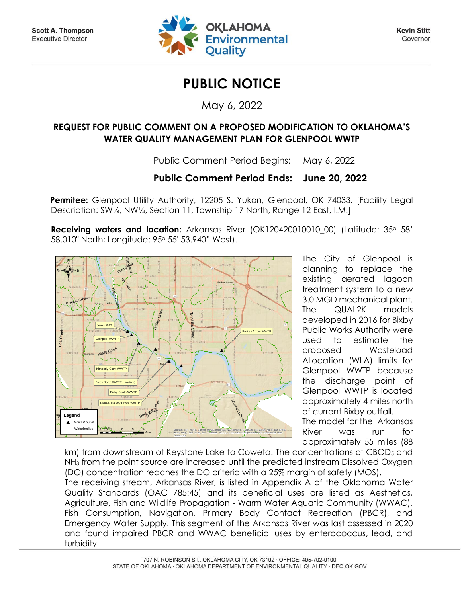

**Kevin Stitt** Governor

## **PUBLIC NOTICE**

May 6, 2022

## **REQUEST FOR PUBLIC COMMENT ON A PROPOSED MODIFICATION TO OKLAHOMA'S WATER QUALITY MANAGEMENT PLAN FOR GLENPOOL WWTP**

Public Comment Period Begins: May 6, 2022

## **Public Comment Period Ends: June 20, 2022**

**Permitee:** Glenpool Utility Authority, 12205 S. Yukon, Glenpool, OK 74033. [Facility Legal Description: SW¼, NW¼, Section 11, Township 17 North, Range 12 East, I.M.]

**Receiving waters and location:** Arkansas River (OK120420010010 00) (Latitude: 35° 58' 58.010" North; Longitude: 95<sup>o</sup> 55' 53.940" West).



The City of Glenpool is planning to replace the existing aerated lagoon treatment system to a new treatment system to a new<br>3.0 MGD mechanical plant. The QUAL2K models developed in 2016 for Bixby Public Works Authority were used to estimate the proposed Wasteload Allocation (WLA) limits for Glenpool WWTP because the discharge point of Glenpool WWTP is located approximately 4 miles north of current Bixby outfall. The model for the Arkansas River was run for approximately 55 miles (88

km) from downstream of Keystone Lake to Coweta. The concentrations of CBOD<sub>5</sub> and NH<sup>3</sup> from the point source are increased until the predicted instream Dissolved Oxygen (DO) concentration reaches the DO criteria with a 25% margin of safety (MOS).

The receiving stream, Arkansas River, is listed in Appendix A of the Oklahoma Water Quality Standards (OAC 785:45) and its beneficial uses are listed as Aesthetics, Agriculture, Fish and Wildlife Propagation - Warm Water Aquatic Community (WWAC), Fish Consumption, Navigation, Primary Body Contact Recreation (PBCR), and Emergency Water Supply. This segment of the Arkansas River was last assessed in 2020 and found impaired PBCR and WWAC beneficial uses by enterococcus, lead, and turbidity.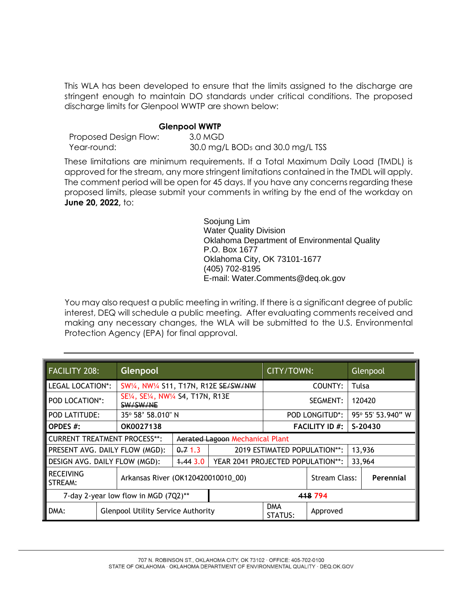This WLA has been developed to ensure that the limits assigned to the discharge are stringent enough to maintain DO standards under critical conditions. The proposed discharge limits for Glenpool WWTP are shown below:

## **Glenpool WWTP**

 Proposed Design Flow: 3.0 MGD Year-round: 30.0 mg/L BOD<sup>5</sup> and 30.0 mg/L TSS

These limitations are minimum requirements. If a Total Maximum Daily Load (TMDL) is approved for the stream, any more stringent limitations contained in the TMDL will apply. The comment period will be open for 45 days. If you have any concerns regarding these proposed limits, please submit your comments in writing by the end of the workday on **June 20, 2022,** to:

> Soojung Lim Water Quality Division Oklahoma Department of Environmental Quality P.O. Box 1677 Oklahoma City, OK 73101-1677 (405) 702-8195 E-mail: Water.Comments@deq.ok.gov

You may also request a public meeting in writing. If there is a significant degree of public interest, DEQ will schedule a public meeting. After evaluating comments received and making any necessary changes, the WLA will be submitted to the U.S. Environmental Protection Agency (EPA) for final approval.

| <b>FACILITY 208:</b>                      |  | Glenpool                                  |                                    |                                   | CITY/TOWN:            |               | Glenpool          |           |
|-------------------------------------------|--|-------------------------------------------|------------------------------------|-----------------------------------|-----------------------|---------------|-------------------|-----------|
| <b>LEGAL LOCATION*:</b>                   |  | SW1/4, NW1/4 S11, T17N, R12E SE/SW/NW     |                                    |                                   | COUNTY:               |               | Tulsa             |           |
| <b>POD LOCATION*:</b>                     |  | SW/SW/NE                                  | SE1/4, SE1/4, NW1/4 S4, T17N, R13E |                                   | SEGMENT:              |               | 120420            |           |
| 35° 58' 58.010" N<br><b>POD LATITUDE:</b> |  |                                           |                                    |                                   | <b>POD LONGITUD*:</b> |               | 95° 55' 53.940" W |           |
| OPDES #:                                  |  | OK0027138                                 |                                    |                                   | <b>FACILITY ID #:</b> |               | S-20430           |           |
| <b>CURRENT TREATMENT PROCESS**:</b>       |  |                                           | Aerated Lagoon Mechanical Plant    |                                   |                       |               |                   |           |
| PRESENT AVG. DAILY FLOW (MGD):            |  |                                           | 0.71.3                             | 2019 ESTIMATED POPULATION**:      |                       |               | 13,936            |           |
| DESIGN AVG. DAILY FLOW (MGD):             |  |                                           | 1,443.0                            | YEAR 2041 PROJECTED POPULATION**: |                       |               | 33,964            |           |
| <b>RECEIVING</b><br>STREAM:               |  |                                           | Arkansas River (OK120420010010_00) |                                   |                       | Stream Class: |                   | Perennial |
| 7-day 2-year low flow in MGD (7Q2)**      |  |                                           |                                    | 418 794                           |                       |               |                   |           |
| DMA:                                      |  | <b>Glenpool Utility Service Authority</b> |                                    |                                   | <b>DMA</b><br>STATUS: | Approved      |                   |           |